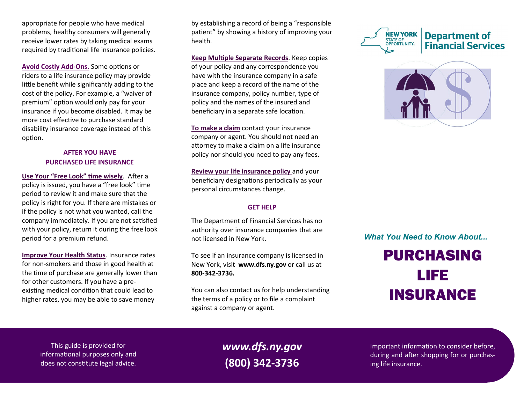appropriate for people who have medical problems, healthy consumers will generally receive lower rates by taking medical exams required by traditional life insurance policies.

**Avoid Costly Add-Ons.** Some options or riders to a life insurance policy may provide little benefit while significantly adding to the cost of the policy. For example, a "waiver of premium" option would only pay for your insurance if you become disabled. It may be more cost effective to purchase standard disability insurance coverage instead of this option.

## **AFTER YOU HAVE PURCHASED LIFE INSURANCE**

**Use Your "Free Look" time wisely**. After a policy is issued, you have a "free look" time period to review it and make sure that the policy is right for you. If there are mistakes or if the policy is not what you wanted, call the company immediately. If you are not satisfied with your policy, return it during the free look period for a premium refund.

**Improve Your Health Status**. Insurance rates for non-smokers and those in good health at the time of purchase are generally lower than for other customers. If you have a preexisting medical condition that could lead to higher rates, you may be able to save money

by establishing a record of being a "responsible patient" by showing a history of improving your health.

**Keep Multiple Separate Records**. Keep copies of your policy and any correspondence you have with the insurance company in a safe place and keep a record of the name of the insurance company, policy number, type of policy and the names of the insured and beneficiary in a separate safe location.

**To make a claim** contact your insurance company or agent. You should not need an attorney to make a claim on a life insurance policy nor should you need to pay any fees.

**Review your life insurance policy** and your beneficiary designations periodically as your personal circumstances change.

#### **GET HELP**

The Department of Financial Services has no authority over insurance companies that are not licensed in New York.

To see if an insurance company is licensed in New York, visit **www.dfs.ny.gov** or call us at **800-342-3736.**

You can also contact us for help understanding the terms of a policy or to file a complaint against a company or agent.





*What You Need to Know About...*

# PURCHASING LIFE INSURANCE

This guide is provided for informational purposes only and does not constitute legal advice.

*www.dfs.ny.gov* **(800) 342-3736**

Important information to consider before, during and after shopping for or purchasing life insurance.